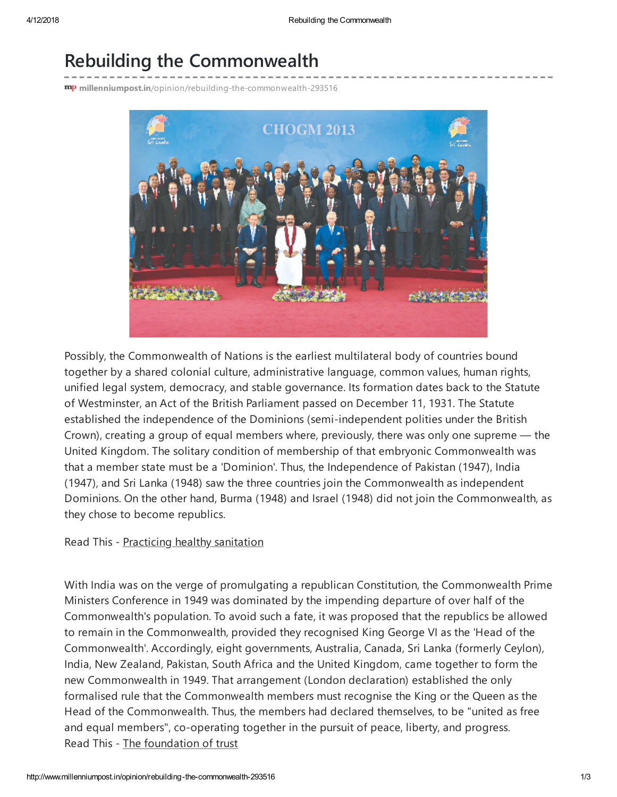## Rebuilding the Commonwealth

mp millenniumpost.in[/opinion/rebuilding-the-commonwealth-293516](http://www.millenniumpost.in/opinion/rebuilding-the-commonwealth-293516)



Possibly, the Commonwealth of Nations is the earliest multilateral body of countries bound together by a shared colonial culture, administrative language, common values, human rights, unified legal system, democracy, and stable governance. Its formation dates back to the Statute of Westminster, an Act of the British Parliament passed on December 11, 1931. The Statute established the independence of the Dominions (semi-independent polities under the British Crown), creating a group of equal members where, previously, there was only one supreme — the United Kingdom. The solitary condition of membership of that embryonic Commonwealth was that a member state must be a 'Dominion'. Thus, the Independence of Pakistan (1947), India (1947), and Sri Lanka (1948) saw the three countries join the Commonwealth as independent Dominions. On the other hand, Burma (1948) and Israel (1948) did not join the Commonwealth, as they chose to become republics.

Read This - Practicing healthy [sanitation](http://www.millenniumpost.in/opinion/practicing-healthy-sanitation-293858)

With India was on the verge of promulgating a republican Constitution, the Commonwealth Prime Ministers Conference in 1949 was dominated by the impending departure of over half of the Commonwealth's population. To avoid such a fate, it was proposed that the republics be allowed to remain in the Commonwealth, provided they recognised King George VI as the 'Head of the Commonwealth'. Accordingly, eight governments, Australia, Canada, Sri Lanka (formerly Ceylon), India, New Zealand, Pakistan, South Africa and the United Kingdom, came together to form the new Commonwealth in 1949. That arrangement (London declaration) established the only formalised rule that the Commonwealth members must recognise the King or the Queen as the Head of the Commonwealth. Thus, the members had declared themselves, to be "united as free and equal members", co-operating together in the pursuit of peace, liberty, and progress. Read This - The [foundation](http://www.millenniumpost.in/opinion/the-foundation-of-trust-293857) of trust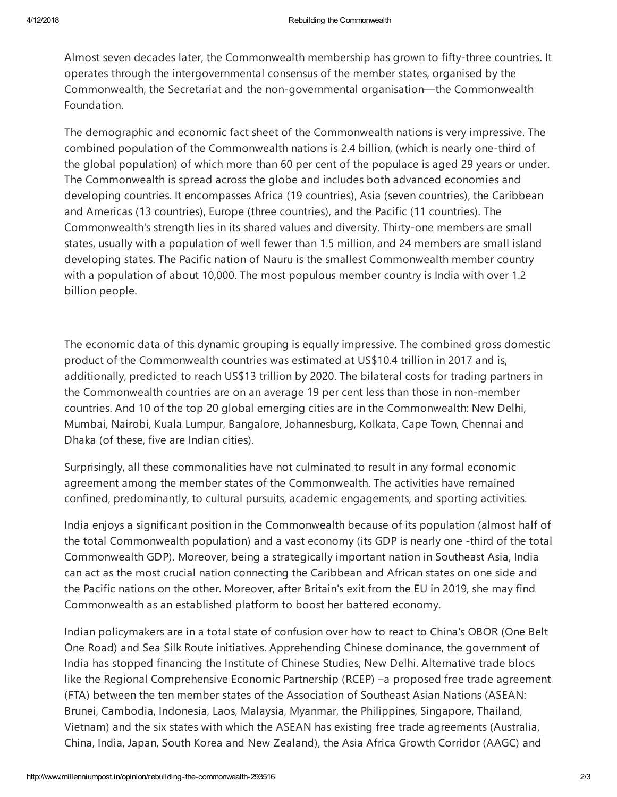Almost seven decades later, the Commonwealth membership has grown to fifty-three countries. It operates through the intergovernmental consensus of the member states, organised by the Commonwealth, the Secretariat and the non-governmental organisation—the Commonwealth Foundation.

The demographic and economic fact sheet of the Commonwealth nations is very impressive. The combined population of the Commonwealth nations is 2.4 billion, (which is nearly one-third of the global population) of which more than 60 per cent of the populace is aged 29 years or under. The Commonwealth is spread across the globe and includes both advanced economies and developing countries. It encompasses Africa (19 countries), Asia (seven countries), the Caribbean and Americas (13 countries), Europe (three countries), and the Pacific (11 countries). The Commonwealth's strength lies in its shared values and diversity. Thirty-one members are small states, usually with a population of well fewer than 1.5 million, and 24 members are small island developing states. The Pacific nation of Nauru is the smallest Commonwealth member country with a population of about 10,000. The most populous member country is India with over 1.2 billion people.

The economic data of this dynamic grouping is equally impressive. The combined gross domestic product of the Commonwealth countries was estimated at US\$10.4 trillion in 2017 and is, additionally, predicted to reach US\$13 trillion by 2020. The bilateral costs for trading partners in the Commonwealth countries are on an average 19 per cent less than those in non-member countries. And 10 of the top 20 global emerging cities are in the Commonwealth: New Delhi, Mumbai, Nairobi, Kuala Lumpur, Bangalore, Johannesburg, Kolkata, Cape Town, Chennai and Dhaka (of these, five are Indian cities).

Surprisingly, all these commonalities have not culminated to result in any formal economic agreement among the member states of the Commonwealth. The activities have remained confined, predominantly, to cultural pursuits, academic engagements, and sporting activities.

India enjoys a significant position in the Commonwealth because of its population (almost half of the total Commonwealth population) and a vast economy (its GDP is nearly one -third of the total Commonwealth GDP). Moreover, being a strategically important nation in Southeast Asia, India can act as the most crucial nation connecting the Caribbean and African states on one side and the Pacific nations on the other. Moreover, after Britain's exit from the EU in 2019, she may find Commonwealth as an established platform to boost her battered economy.

Indian policymakers are in a total state of confusion over how to react to China's OBOR (One Belt One Road) and Sea Silk Route initiatives. Apprehending Chinese dominance, the government of India has stopped financing the Institute of Chinese Studies, New Delhi. Alternative trade blocs like the Regional Comprehensive Economic Partnership (RCEP) –a proposed free trade agreement (FTA) between the ten member states of the Association of Southeast Asian Nations (ASEAN: Brunei, Cambodia, Indonesia, Laos, Malaysia, Myanmar, the Philippines, Singapore, Thailand, Vietnam) and the six states with which the ASEAN has existing free trade agreements (Australia, China, India, Japan, South Korea and New Zealand), the Asia Africa Growth Corridor (AAGC) and